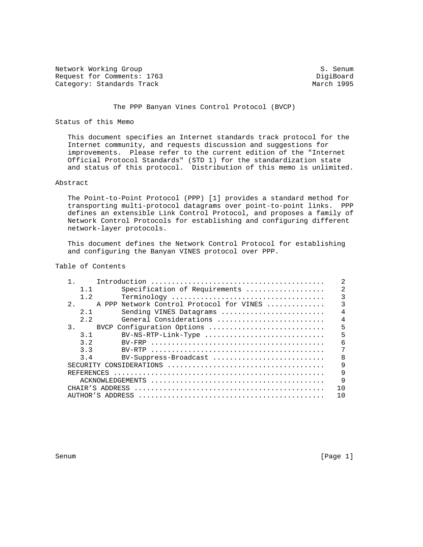Network Working Group S. Senum S. Senum Request for Comments: 1763<br>
Category: Standards Track<br>
Category: Standards Track Category: Standards Track

# The PPP Banyan Vines Control Protocol (BVCP)

## Status of this Memo

 This document specifies an Internet standards track protocol for the Internet community, and requests discussion and suggestions for improvements. Please refer to the current edition of the "Internet Official Protocol Standards" (STD 1) for the standardization state and status of this protocol. Distribution of this memo is unlimited.

# Abstract

 The Point-to-Point Protocol (PPP) [1] provides a standard method for transporting multi-protocol datagrams over point-to-point links. PPP defines an extensible Link Control Protocol, and proposes a family of Network Control Protocols for establishing and configuring different network-layer protocols.

 This document defines the Network Control Protocol for establishing and configuring the Banyan VINES protocol over PPP.

# Table of Contents

| 1.1        | Specification of Requirements                                                                                        | $\mathfrak{D}$ |
|------------|----------------------------------------------------------------------------------------------------------------------|----------------|
| 1.2        |                                                                                                                      | 3              |
| 2.         | A PPP Network Control Protocol for VINES                                                                             | 3              |
| 2.1        | Sending VINES Datagrams                                                                                              | $\overline{4}$ |
| 2.2        | General Considerations                                                                                               | $\overline{4}$ |
| 3.         | BVCP Configuration Options                                                                                           | 5              |
| 3.1        | BV-NS-RTP-Link-Type                                                                                                  | 5              |
| 3.2        |                                                                                                                      | 6              |
| 3.3        |                                                                                                                      |                |
| 3.4        | BV-Suppress-Broadcast                                                                                                | 8              |
|            | SECURITY CONSIDERATIONS $\ldots \ldots \ldots \ldots \ldots \ldots \ldots \ldots \ldots \ldots \ldots \ldots \ldots$ | 9              |
| REFERENCES |                                                                                                                      | 9              |
|            |                                                                                                                      | 9              |
|            |                                                                                                                      | 1 <sub>0</sub> |
|            |                                                                                                                      | 1 N            |

Senum [Page 1]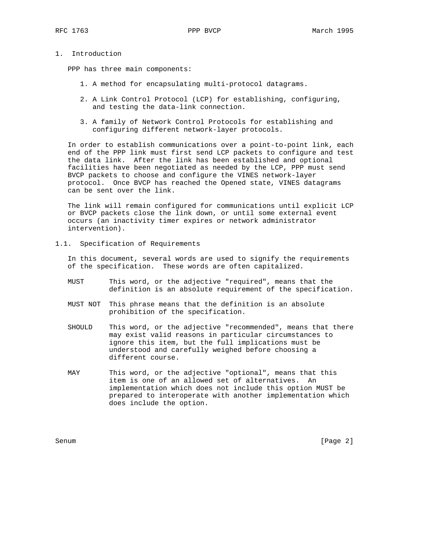### 1. Introduction

PPP has three main components:

- 1. A method for encapsulating multi-protocol datagrams.
- 2. A Link Control Protocol (LCP) for establishing, configuring, and testing the data-link connection.
- 3. A family of Network Control Protocols for establishing and configuring different network-layer protocols.

 In order to establish communications over a point-to-point link, each end of the PPP link must first send LCP packets to configure and test the data link. After the link has been established and optional facilities have been negotiated as needed by the LCP, PPP must send BVCP packets to choose and configure the VINES network-layer protocol. Once BVCP has reached the Opened state, VINES datagrams can be sent over the link.

 The link will remain configured for communications until explicit LCP or BVCP packets close the link down, or until some external event occurs (an inactivity timer expires or network administrator intervention).

1.1. Specification of Requirements

 In this document, several words are used to signify the requirements of the specification. These words are often capitalized.

- MUST This word, or the adjective "required", means that the definition is an absolute requirement of the specification.
- MUST NOT This phrase means that the definition is an absolute prohibition of the specification.
- SHOULD This word, or the adjective "recommended", means that there may exist valid reasons in particular circumstances to ignore this item, but the full implications must be understood and carefully weighed before choosing a different course.
- MAY This word, or the adjective "optional", means that this item is one of an allowed set of alternatives. An implementation which does not include this option MUST be prepared to interoperate with another implementation which does include the option.

Senum [Page 2]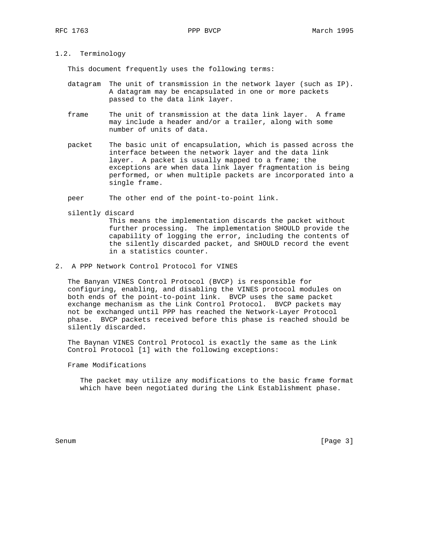# 1.2. Terminology

This document frequently uses the following terms:

- datagram The unit of transmission in the network layer (such as IP). A datagram may be encapsulated in one or more packets passed to the data link layer.
- frame The unit of transmission at the data link layer. A frame may include a header and/or a trailer, along with some number of units of data.
- packet The basic unit of encapsulation, which is passed across the interface between the network layer and the data link layer. A packet is usually mapped to a frame; the exceptions are when data link layer fragmentation is being performed, or when multiple packets are incorporated into a single frame.

peer The other end of the point-to-point link.

silently discard

 This means the implementation discards the packet without further processing. The implementation SHOULD provide the capability of logging the error, including the contents of the silently discarded packet, and SHOULD record the event in a statistics counter.

2. A PPP Network Control Protocol for VINES

 The Banyan VINES Control Protocol (BVCP) is responsible for configuring, enabling, and disabling the VINES protocol modules on both ends of the point-to-point link. BVCP uses the same packet exchange mechanism as the Link Control Protocol. BVCP packets may not be exchanged until PPP has reached the Network-Layer Protocol phase. BVCP packets received before this phase is reached should be silently discarded.

 The Baynan VINES Control Protocol is exactly the same as the Link Control Protocol [1] with the following exceptions:

Frame Modifications

 The packet may utilize any modifications to the basic frame format which have been negotiated during the Link Establishment phase.

Senum [Page 3]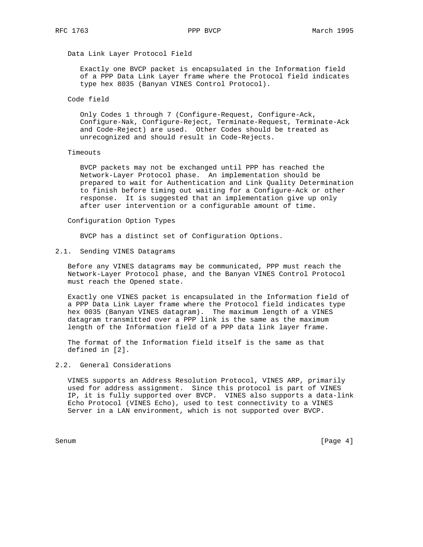# Data Link Layer Protocol Field

 Exactly one BVCP packet is encapsulated in the Information field of a PPP Data Link Layer frame where the Protocol field indicates type hex 8035 (Banyan VINES Control Protocol).

### Code field

 Only Codes 1 through 7 (Configure-Request, Configure-Ack, Configure-Nak, Configure-Reject, Terminate-Request, Terminate-Ack and Code-Reject) are used. Other Codes should be treated as unrecognized and should result in Code-Rejects.

### Timeouts

 BVCP packets may not be exchanged until PPP has reached the Network-Layer Protocol phase. An implementation should be prepared to wait for Authentication and Link Quality Determination to finish before timing out waiting for a Configure-Ack or other response. It is suggested that an implementation give up only after user intervention or a configurable amount of time.

### Configuration Option Types

BVCP has a distinct set of Configuration Options.

# 2.1. Sending VINES Datagrams

 Before any VINES datagrams may be communicated, PPP must reach the Network-Layer Protocol phase, and the Banyan VINES Control Protocol must reach the Opened state.

 Exactly one VINES packet is encapsulated in the Information field of a PPP Data Link Layer frame where the Protocol field indicates type hex 0035 (Banyan VINES datagram). The maximum length of a VINES datagram transmitted over a PPP link is the same as the maximum length of the Information field of a PPP data link layer frame.

 The format of the Information field itself is the same as that defined in [2].

# 2.2. General Considerations

 VINES supports an Address Resolution Protocol, VINES ARP, primarily used for address assignment. Since this protocol is part of VINES IP, it is fully supported over BVCP. VINES also supports a data-link Echo Protocol (VINES Echo), used to test connectivity to a VINES Server in a LAN environment, which is not supported over BVCP.

Senum [Page 4]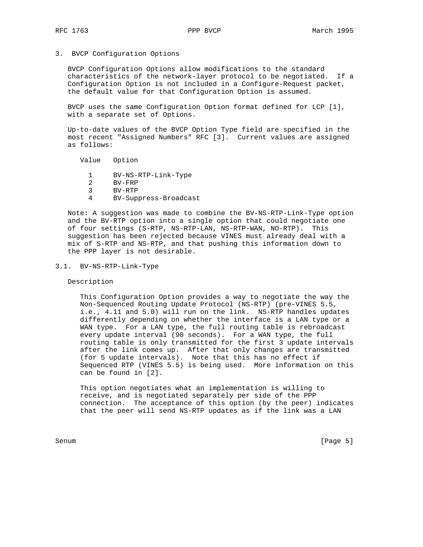3. BVCP Configuration Options

 BVCP Configuration Options allow modifications to the standard characteristics of the network-layer protocol to be negotiated. If a Configuration Option is not included in a Configure-Request packet, the default value for that Configuration Option is assumed.

 BVCP uses the same Configuration Option format defined for LCP [1], with a separate set of Options.

 Up-to-date values of the BVCP Option Type field are specified in the most recent "Assigned Numbers" RFC [3]. Current values are assigned as follows:

Value Option

- 1 BV-NS-RTP-Link-Type
- 2 BV-FRP
- 3 BV-RTP
- 4 BV-Suppress-Broadcast

 Note: A suggestion was made to combine the BV-NS-RTP-Link-Type option and the BV-RTP option into a single option that could negotiate one of four settings (S-RTP, NS-RTP-LAN, NS-RTP-WAN, NO-RTP). This suggestion has been rejected because VINES must already deal with a mix of S-RTP and NS-RTP, and that pushing this information down to the PPP layer is not desirable.

3.1. BV-NS-RTP-Link-Type

Description

 This Configuration Option provides a way to negotiate the way the Non-Sequenced Routing Update Protocol (NS-RTP) (pre-VINES 5.5, i.e., 4.11 and 5.0) will run on the link. NS-RTP handles updates differently depending on whether the interface is a LAN type or a WAN type. For a LAN type, the full routing table is rebroadcast every update interval (90 seconds). For a WAN type, the full routing table is only transmitted for the first 3 update intervals after the link comes up. After that only changes are transmitted (for 5 update intervals). Note that this has no effect if Sequenced RTP (VINES 5.5) is being used. More information on this can be found in [2].

 This option negotiates what an implementation is willing to receive, and is negotiated separately per side of the PPP connection. The acceptance of this option (by the peer) indicates that the peer will send NS-RTP updates as if the link was a LAN

Senum [Page 5]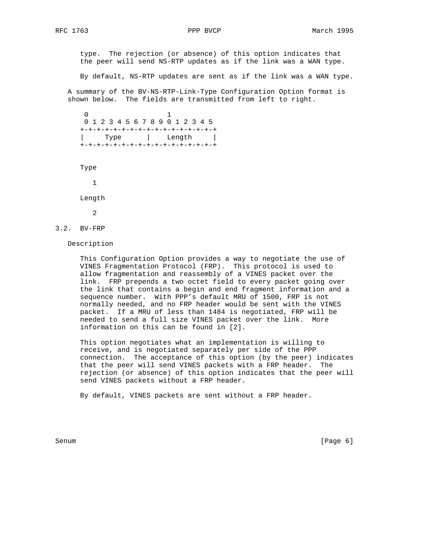type. The rejection (or absence) of this option indicates that the peer will send NS-RTP updates as if the link was a WAN type.

By default, NS-RTP updates are sent as if the link was a WAN type.

 A summary of the BV-NS-RTP-Link-Type Configuration Option format is shown below. The fields are transmitted from left to right.

 $\sim$  0  $\sim$  1 0 1 2 3 4 5 6 7 8 9 0 1 2 3 4 5 +-+-+-+-+-+-+-+-+-+-+-+-+-+-+-+-+ | Type | Length | +-+-+-+-+-+-+-+-+-+-+-+-+-+-+-+-+

Type

1

Length

2

3.2. BV-FRP

Description

 This Configuration Option provides a way to negotiate the use of VINES Fragmentation Protocol (FRP). This protocol is used to allow fragmentation and reassembly of a VINES packet over the link. FRP prepends a two octet field to every packet going over the link that contains a begin and end fragment information and a sequence number. With PPP's default MRU of 1500, FRP is not normally needed, and no FRP header would be sent with the VINES packet. If a MRU of less than 1484 is negotiated, FRP will be needed to send a full size VINES packet over the link. More information on this can be found in [2].

 This option negotiates what an implementation is willing to receive, and is negotiated separately per side of the PPP connection. The acceptance of this option (by the peer) indicates that the peer will send VINES packets with a FRP header. The rejection (or absence) of this option indicates that the peer will send VINES packets without a FRP header.

By default, VINES packets are sent without a FRP header.

Senum [Page 6]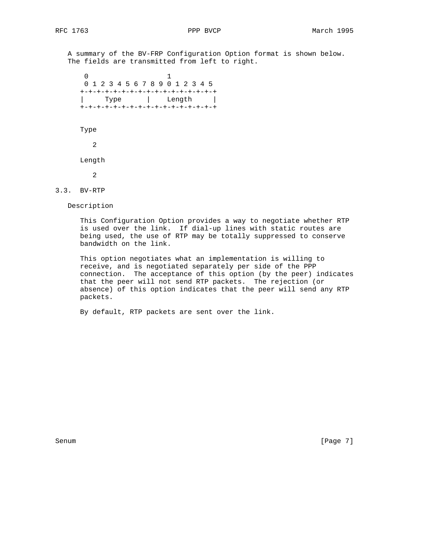A summary of the BV-FRP Configuration Option format is shown below. The fields are transmitted from left to right.

 0 1 0 1 2 3 4 5 6 7 8 9 0 1 2 3 4 5 +-+-+-+-+-+-+-+-+-+-+-+-+-+-+-+-+-+<br>| Type | Length | | Type | Length | +-+-+-+-+-+-+-+-+-+-+-+-+-+-+-+-+

Type

2

Length

2

3.3. BV-RTP

Description

 This Configuration Option provides a way to negotiate whether RTP is used over the link. If dial-up lines with static routes are being used, the use of RTP may be totally suppressed to conserve bandwidth on the link.

 This option negotiates what an implementation is willing to receive, and is negotiated separately per side of the PPP connection. The acceptance of this option (by the peer) indicates that the peer will not send RTP packets. The rejection (or absence) of this option indicates that the peer will send any RTP packets.

By default, RTP packets are sent over the link.

Senum [Page 7]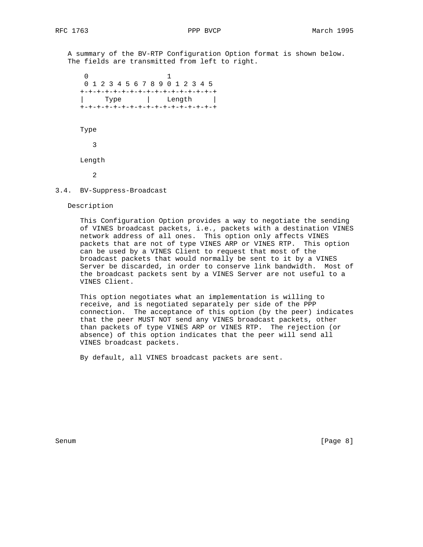A summary of the BV-RTP Configuration Option format is shown below. The fields are transmitted from left to right.

 0 1 0 1 2 3 4 5 6 7 8 9 0 1 2 3 4 5 +-+-+-+-+-+-+-+-+-+-+-+-+-+-+-+-+ | Type | Length | +-+-+-+-+-+-+-+-+-+-+-+-+-+-+-+-+ Type 3 Length 2

3.4. BV-Suppress-Broadcast

Description

 This Configuration Option provides a way to negotiate the sending of VINES broadcast packets, i.e., packets with a destination VINES network address of all ones. This option only affects VINES packets that are not of type VINES ARP or VINES RTP. This option can be used by a VINES Client to request that most of the broadcast packets that would normally be sent to it by a VINES Server be discarded, in order to conserve link bandwidth. Most of the broadcast packets sent by a VINES Server are not useful to a VINES Client.

 This option negotiates what an implementation is willing to receive, and is negotiated separately per side of the PPP connection. The acceptance of this option (by the peer) indicates that the peer MUST NOT send any VINES broadcast packets, other than packets of type VINES ARP or VINES RTP. The rejection (or absence) of this option indicates that the peer will send all VINES broadcast packets.

By default, all VINES broadcast packets are sent.

Senum [Page 8]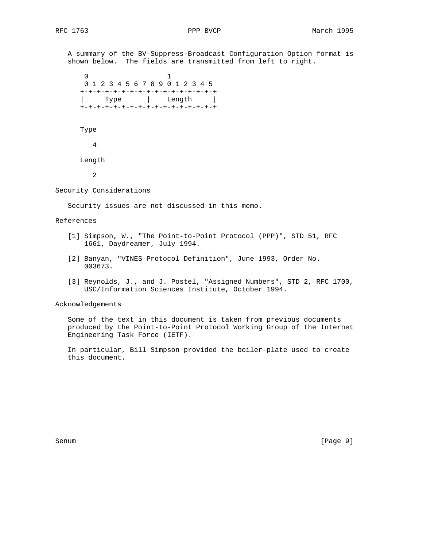A summary of the BV-Suppress-Broadcast Configuration Option format is shown below. The fields are transmitted from left to right.

 0 1 0 1 2 3 4 5 6 7 8 9 0 1 2 3 4 5 +-+-+-+-+-+-+-+-+-+-+-+-+-+-+-+-+ | Type | Length | +-+-+-+-+-+-+-+-+-+-+-+-+-+-+-+-+ Type 4 Length

2

Security Considerations

Security issues are not discussed in this memo.

# References

- [1] Simpson, W., "The Point-to-Point Protocol (PPP)", STD 51, RFC 1661, Daydreamer, July 1994.
- [2] Banyan, "VINES Protocol Definition", June 1993, Order No. 003673.
- [3] Reynolds, J., and J. Postel, "Assigned Numbers", STD 2, RFC 1700, USC/Information Sciences Institute, October 1994.

Acknowledgements

 Some of the text in this document is taken from previous documents produced by the Point-to-Point Protocol Working Group of the Internet Engineering Task Force (IETF).

 In particular, Bill Simpson provided the boiler-plate used to create this document.

Senum [Page 9]